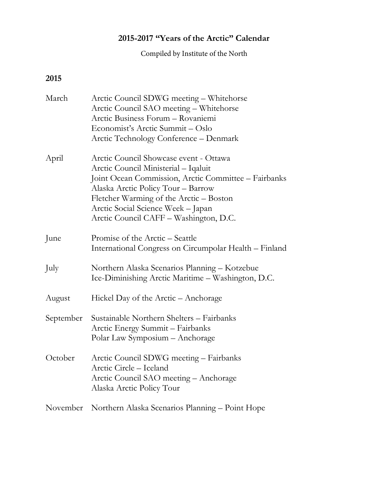## **2015-2017 "Years of the Arctic" Calendar**

Compiled by Institute of the North

## **2015**

| March     | Arctic Council SDWG meeting - Whitehorse<br>Arctic Council SAO meeting - Whitehorse<br>Arctic Business Forum - Rovaniemi<br>Economist's Arctic Summit - Oslo<br>Arctic Technology Conference – Denmark                                                                                                  |
|-----------|---------------------------------------------------------------------------------------------------------------------------------------------------------------------------------------------------------------------------------------------------------------------------------------------------------|
| April     | Arctic Council Showcase event - Ottawa<br>Arctic Council Ministerial - Iqaluit<br>Joint Ocean Commission, Arctic Committee - Fairbanks<br>Alaska Arctic Policy Tour - Barrow<br>Fletcher Warming of the Arctic – Boston<br>Arctic Social Science Week - Japan<br>Arctic Council CAFF - Washington, D.C. |
| June      | Promise of the Arctic - Seattle<br>International Congress on Circumpolar Health – Finland                                                                                                                                                                                                               |
| July      | Northern Alaska Scenarios Planning - Kotzebue<br>Ice-Diminishing Arctic Maritime - Washington, D.C.                                                                                                                                                                                                     |
| August    | Hickel Day of the Arctic – Anchorage                                                                                                                                                                                                                                                                    |
| September | Sustainable Northern Shelters - Fairbanks<br>Arctic Energy Summit - Fairbanks<br>Polar Law Symposium - Anchorage                                                                                                                                                                                        |
| October   | Arctic Council SDWG meeting - Fairbanks<br>Arctic Circle - Iceland<br>Arctic Council SAO meeting - Anchorage<br>Alaska Arctic Policy Tour                                                                                                                                                               |
| November  | Northern Alaska Scenarios Planning - Point Hope                                                                                                                                                                                                                                                         |